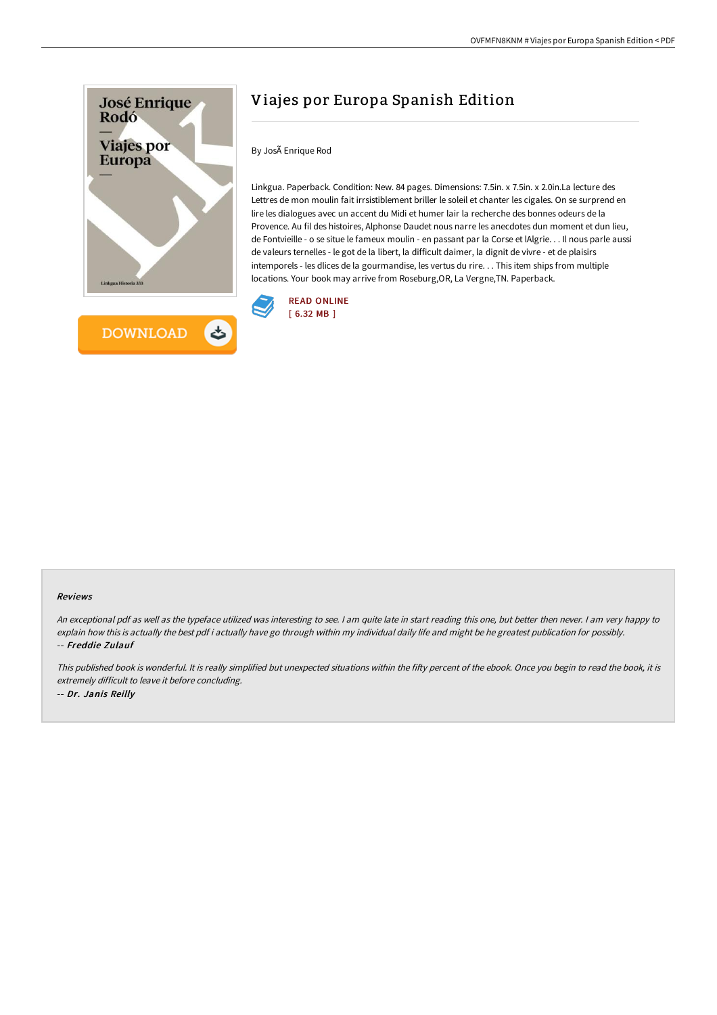

# Viajes por Europa Spanish Edition

By JosÃ Enrique Rod

Linkgua. Paperback. Condition: New. 84 pages. Dimensions: 7.5in. x 7.5in. x 2.0in.La lecture des Lettres de mon moulin fait irrsistiblement briller le soleil et chanter les cigales. On se surprend en lire les dialogues avec un accent du Midi et humer lair la recherche des bonnes odeurs de la Provence. Au fil des histoires, Alphonse Daudet nous narre les anecdotes dun moment et dun lieu, de Fontvieille - o se situe le fameux moulin - en passant par la Corse et lAlgrie. . . Il nous parle aussi de valeurs ternelles - le got de la libert, la difficult daimer, la dignit de vivre - et de plaisirs intemporels - les dlices de la gourmandise, les vertus du rire. . . This item ships from multiple locations. Your book may arrive from Roseburg,OR, La Vergne,TN. Paperback.



#### Reviews

An exceptional pdf as well as the typeface utilized was interesting to see. I am quite late in start reading this one, but better then never. I am very happy to explain how this is actually the best pdf i actually have go through within my individual daily life and might be he greatest publication for possibly. -- Freddie Zulauf

This published book is wonderful. It is really simplified but unexpected situations within the fifty percent of the ebook. Once you begin to read the book, it is extremely difficult to leave it before concluding. -- Dr. Janis Reilly